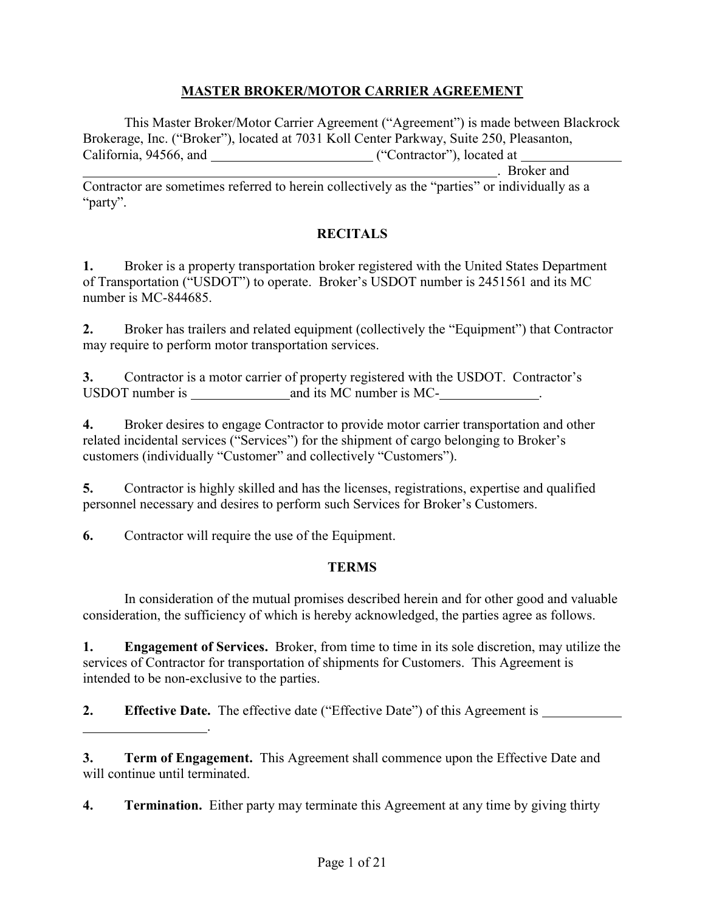### **MASTER BROKER/MOTOR CARRIER AGREEMENT**

This Master Broker/Motor Carrier Agreement ("Agreement") is made between Blackrock Brokerage, Inc. ("Broker"), located at 7031 Koll Center Parkway, Suite 250, Pleasanton, California, 94566, and ("Contractor"), located at

. Broker and Contractor are sometimes referred to herein collectively as the "parties" or individually as a "party".

## **RECITALS**

**1.** Broker is a property transportation broker registered with the United States Department of Transportation ("USDOT") to operate. Broker's USDOT number is 2451561 and its MC number is MC-844685.

**2.** Broker has trailers and related equipment (collectively the "Equipment") that Contractor may require to perform motor transportation services.

**3.** Contractor is a motor carrier of property registered with the USDOT. Contractor's USDOT number is and its MC number is MC- .

**4.** Broker desires to engage Contractor to provide motor carrier transportation and other related incidental services ("Services") for the shipment of cargo belonging to Broker's customers (individually "Customer" and collectively "Customers").

**5.** Contractor is highly skilled and has the licenses, registrations, expertise and qualified personnel necessary and desires to perform such Services for Broker's Customers.

**6.** Contractor will require the use of the Equipment.

.

### **TERMS**

In consideration of the mutual promises described herein and for other good and valuable consideration, the sufficiency of which is hereby acknowledged, the parties agree as follows.

**1. Engagement of Services.** Broker, from time to time in its sole discretion, may utilize the services of Contractor for transportation of shipments for Customers. This Agreement is intended to be non-exclusive to the parties.

**2. Effective Date.** The effective date ("Effective Date") of this Agreement is

**3. Term of Engagement.** This Agreement shall commence upon the Effective Date and will continue until terminated.

**4. Termination.** Either party may terminate this Agreement at any time by giving thirty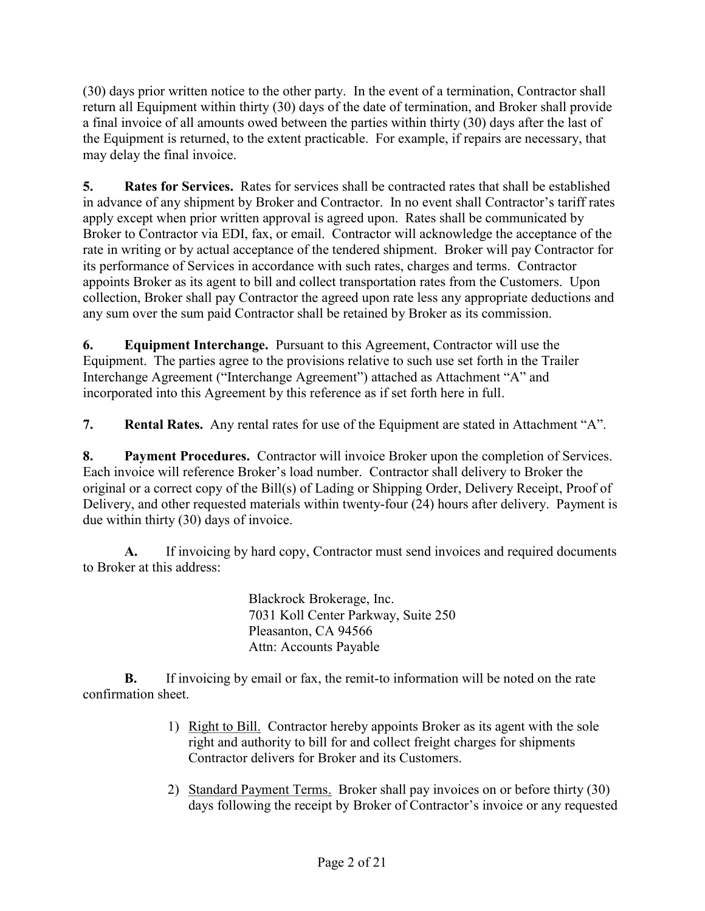(30) days prior written notice to the other party. In the event of a termination, Contractor shall return all Equipment within thirty (30) days of the date of termination, and Broker shall provide a final invoice of all amounts owed between the parties within thirty (30) days after the last of the Equipment is returned, to the extent practicable. For example, if repairs are necessary, that may delay the final invoice.

**5. Rates for Services.** Rates for services shall be contracted rates that shall be established in advance of any shipment by Broker and Contractor. In no event shall Contractor's tariff rates apply except when prior written approval is agreed upon. Rates shall be communicated by Broker to Contractor via EDI, fax, or email. Contractor will acknowledge the acceptance of the rate in writing or by actual acceptance of the tendered shipment. Broker will pay Contractor for its performance of Services in accordance with such rates, charges and terms. Contractor appoints Broker as its agent to bill and collect transportation rates from the Customers. Upon collection, Broker shall pay Contractor the agreed upon rate less any appropriate deductions and any sum over the sum paid Contractor shall be retained by Broker as its commission.

**6. Equipment Interchange.** Pursuant to this Agreement, Contractor will use the Equipment. The parties agree to the provisions relative to such use set forth in the Trailer Interchange Agreement ("Interchange Agreement") attached as Attachment "A" and incorporated into this Agreement by this reference as if set forth here in full.

**7. Rental Rates.** Any rental rates for use of the Equipment are stated in Attachment "A".

**8. Payment Procedures.** Contractor will invoice Broker upon the completion of Services. Each invoice will reference Broker's load number. Contractor shall delivery to Broker the original or a correct copy of the Bill(s) of Lading or Shipping Order, Delivery Receipt, Proof of Delivery, and other requested materials within twenty-four (24) hours after delivery. Payment is due within thirty (30) days of invoice.

**A.** If invoicing by hard copy, Contractor must send invoices and required documents to Broker at this address:

> Blackrock Brokerage, Inc. 7031 Koll Center Parkway, Suite 250 Pleasanton, CA 94566 Attn: Accounts Payable

**B.** If invoicing by email or fax, the remit-to information will be noted on the rate confirmation sheet.

- 1) Right to Bill. Contractor hereby appoints Broker as its agent with the sole right and authority to bill for and collect freight charges for shipments Contractor delivers for Broker and its Customers.
- 2) Standard Payment Terms. Broker shall pay invoices on or before thirty (30) days following the receipt by Broker of Contractor's invoice or any requested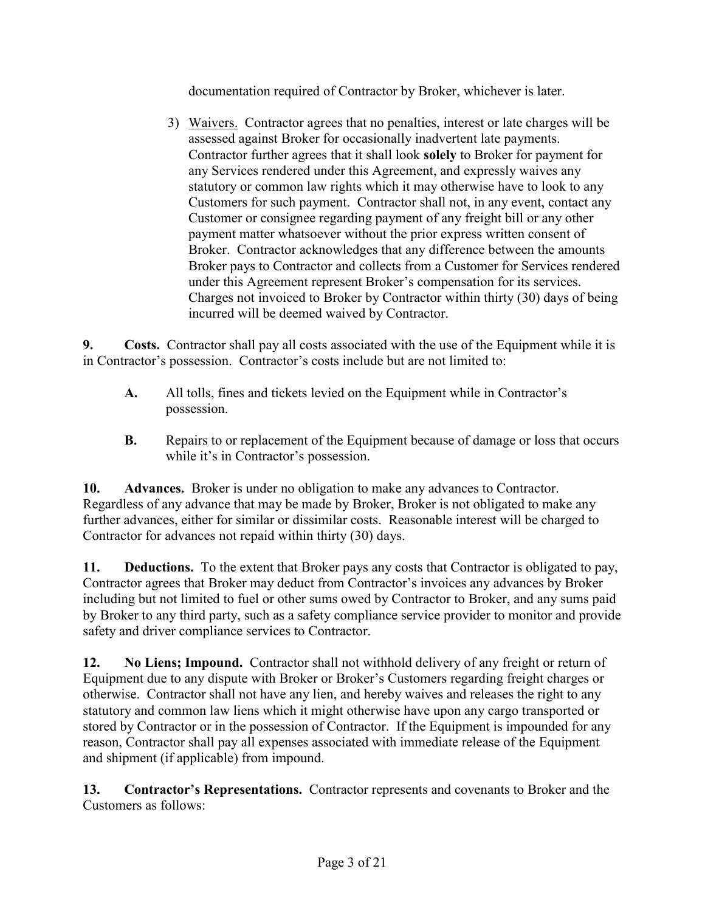documentation required of Contractor by Broker, whichever is later.

3) Waivers. Contractor agrees that no penalties, interest or late charges will be assessed against Broker for occasionally inadvertent late payments. Contractor further agrees that it shall look **solely** to Broker for payment for any Services rendered under this Agreement, and expressly waives any statutory or common law rights which it may otherwise have to look to any Customers for such payment. Contractor shall not, in any event, contact any Customer or consignee regarding payment of any freight bill or any other payment matter whatsoever without the prior express written consent of Broker. Contractor acknowledges that any difference between the amounts Broker pays to Contractor and collects from a Customer for Services rendered under this Agreement represent Broker's compensation for its services. Charges not invoiced to Broker by Contractor within thirty (30) days of being incurred will be deemed waived by Contractor.

**9. Costs.** Contractor shall pay all costs associated with the use of the Equipment while it is in Contractor's possession. Contractor's costs include but are not limited to:

- **A.** All tolls, fines and tickets levied on the Equipment while in Contractor's possession.
- **B.** Repairs to or replacement of the Equipment because of damage or loss that occurs while it's in Contractor's possession.

**10. Advances.** Broker is under no obligation to make any advances to Contractor. Regardless of any advance that may be made by Broker, Broker is not obligated to make any further advances, either for similar or dissimilar costs. Reasonable interest will be charged to Contractor for advances not repaid within thirty (30) days.

**11. Deductions.** To the extent that Broker pays any costs that Contractor is obligated to pay, Contractor agrees that Broker may deduct from Contractor's invoices any advances by Broker including but not limited to fuel or other sums owed by Contractor to Broker, and any sums paid by Broker to any third party, such as a safety compliance service provider to monitor and provide safety and driver compliance services to Contractor.

**12. No Liens; Impound.** Contractor shall not withhold delivery of any freight or return of Equipment due to any dispute with Broker or Broker's Customers regarding freight charges or otherwise. Contractor shall not have any lien, and hereby waives and releases the right to any statutory and common law liens which it might otherwise have upon any cargo transported or stored by Contractor or in the possession of Contractor. If the Equipment is impounded for any reason, Contractor shall pay all expenses associated with immediate release of the Equipment and shipment (if applicable) from impound.

**13. Contractor's Representations.** Contractor represents and covenants to Broker and the Customers as follows: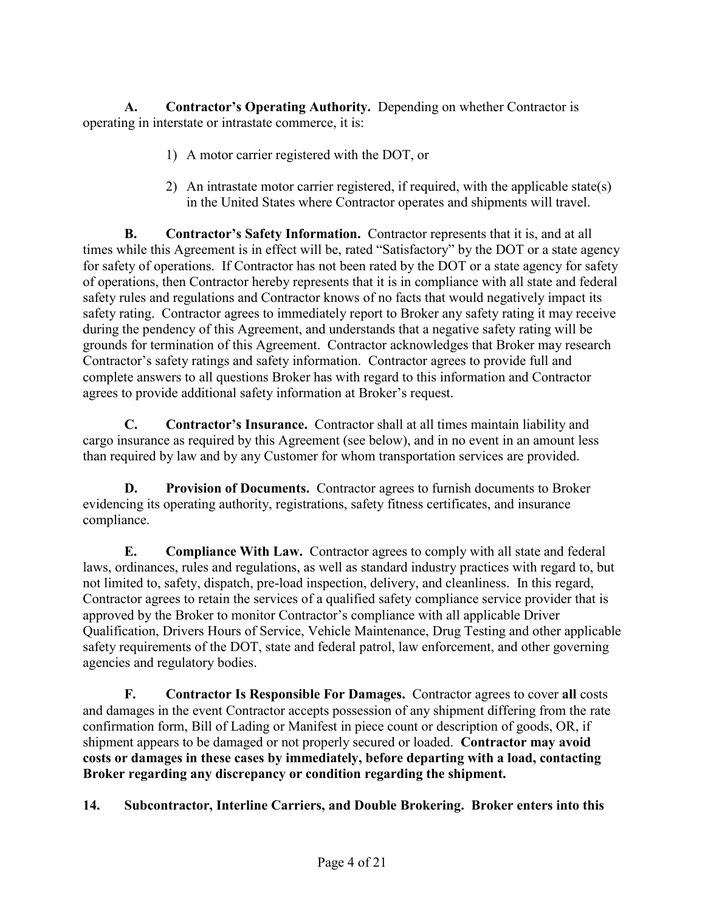**A. Contractor's Operating Authority.** Depending on whether Contractor is operating in interstate or intrastate commerce, it is:

- 1) A motor carrier registered with the DOT, or
- 2) An intrastate motor carrier registered, if required, with the applicable state(s) in the United States where Contractor operates and shipments will travel.

**B. Contractor's Safety Information.** Contractor represents that it is, and at all times while this Agreement is in effect will be, rated "Satisfactory" by the DOT or a state agency for safety of operations. If Contractor has not been rated by the DOT or a state agency for safety of operations, then Contractor hereby represents that it is in compliance with all state and federal safety rules and regulations and Contractor knows of no facts that would negatively impact its safety rating. Contractor agrees to immediately report to Broker any safety rating it may receive during the pendency of this Agreement, and understands that a negative safety rating will be grounds for termination of this Agreement. Contractor acknowledges that Broker may research Contractor's safety ratings and safety information. Contractor agrees to provide full and complete answers to all questions Broker has with regard to this information and Contractor agrees to provide additional safety information at Broker's request.

**C. Contractor's Insurance.** Contractor shall at all times maintain liability and cargo insurance as required by this Agreement (see below), and in no event in an amount less than required by law and by any Customer for whom transportation services are provided.

**D. Provision of Documents.** Contractor agrees to furnish documents to Broker evidencing its operating authority, registrations, safety fitness certificates, and insurance compliance.

**E. Compliance With Law.** Contractor agrees to comply with all state and federal laws, ordinances, rules and regulations, as well as standard industry practices with regard to, but not limited to, safety, dispatch, pre-load inspection, delivery, and cleanliness. In this regard, Contractor agrees to retain the services of a qualified safety compliance service provider that is approved by the Broker to monitor Contractor's compliance with all applicable Driver Qualification, Drivers Hours of Service, Vehicle Maintenance, Drug Testing and other applicable safety requirements of the DOT, state and federal patrol, law enforcement, and other governing agencies and regulatory bodies.

**F. Contractor Is Responsible For Damages.** Contractor agrees to cover **all** costs and damages in the event Contractor accepts possession of any shipment differing from the rate confirmation form, Bill of Lading or Manifest in piece count or description of goods, OR, if shipment appears to be damaged or not properly secured or loaded. **Contractor may avoid costs or damages in these cases by immediately, before departing with a load, contacting Broker regarding any discrepancy or condition regarding the shipment.**

**14. Subcontractor, Interline Carriers, and Double Brokering. Broker enters into this**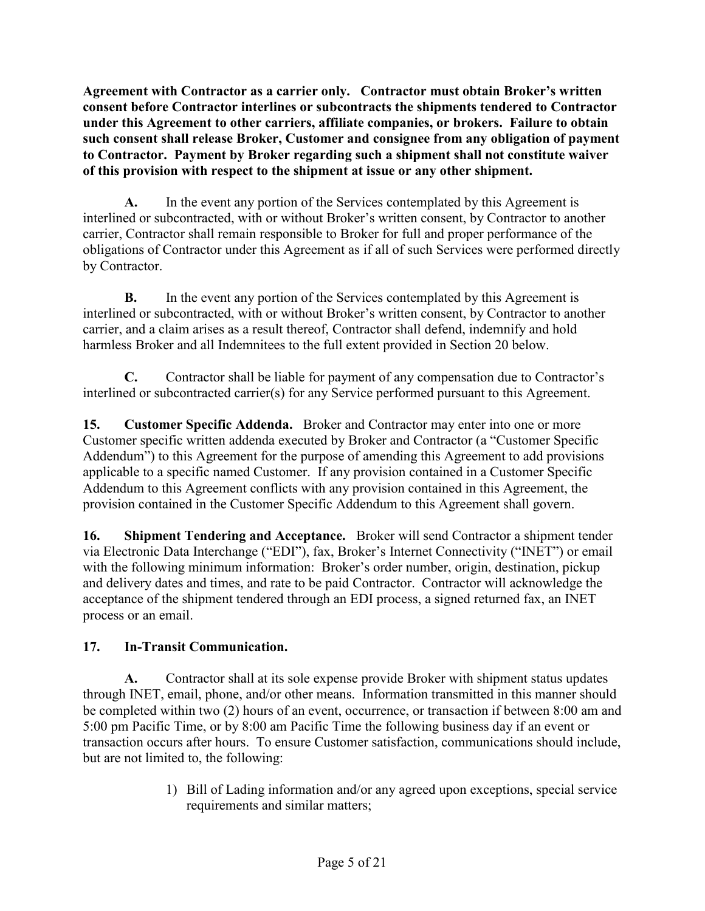**Agreement with Contractor as a carrier only. Contractor must obtain Broker's written consent before Contractor interlines or subcontracts the shipments tendered to Contractor under this Agreement to other carriers, affiliate companies, or brokers. Failure to obtain such consent shall release Broker, Customer and consignee from any obligation of payment to Contractor. Payment by Broker regarding such a shipment shall not constitute waiver of this provision with respect to the shipment at issue or any other shipment.**

**A.** In the event any portion of the Services contemplated by this Agreement is interlined or subcontracted, with or without Broker's written consent, by Contractor to another carrier, Contractor shall remain responsible to Broker for full and proper performance of the obligations of Contractor under this Agreement as if all of such Services were performed directly by Contractor.

**B.** In the event any portion of the Services contemplated by this Agreement is interlined or subcontracted, with or without Broker's written consent, by Contractor to another carrier, and a claim arises as a result thereof, Contractor shall defend, indemnify and hold harmless Broker and all Indemnitees to the full extent provided in Section 20 below.

**C.** Contractor shall be liable for payment of any compensation due to Contractor's interlined or subcontracted carrier(s) for any Service performed pursuant to this Agreement.

**15. Customer Specific Addenda.** Broker and Contractor may enter into one or more Customer specific written addenda executed by Broker and Contractor (a "Customer Specific Addendum") to this Agreement for the purpose of amending this Agreement to add provisions applicable to a specific named Customer. If any provision contained in a Customer Specific Addendum to this Agreement conflicts with any provision contained in this Agreement, the provision contained in the Customer Specific Addendum to this Agreement shall govern.

**16. Shipment Tendering and Acceptance.** Broker will send Contractor a shipment tender via Electronic Data Interchange ("EDI"), fax, Broker's Internet Connectivity ("INET") or email with the following minimum information: Broker's order number, origin, destination, pickup and delivery dates and times, and rate to be paid Contractor. Contractor will acknowledge the acceptance of the shipment tendered through an EDI process, a signed returned fax, an INET process or an email.

# **17. In-Transit Communication.**

**A.** Contractor shall at its sole expense provide Broker with shipment status updates through INET, email, phone, and/or other means. Information transmitted in this manner should be completed within two (2) hours of an event, occurrence, or transaction if between 8:00 am and 5:00 pm Pacific Time, or by 8:00 am Pacific Time the following business day if an event or transaction occurs after hours. To ensure Customer satisfaction, communications should include, but are not limited to, the following:

> 1) Bill of Lading information and/or any agreed upon exceptions, special service requirements and similar matters;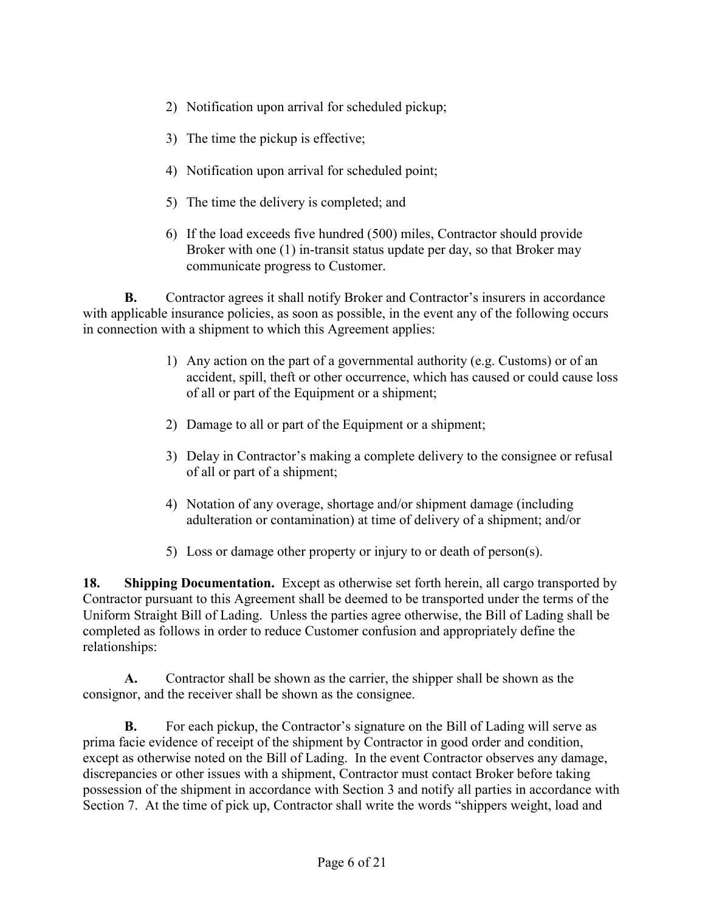- 2) Notification upon arrival for scheduled pickup;
- 3) The time the pickup is effective;
- 4) Notification upon arrival for scheduled point;
- 5) The time the delivery is completed; and
- 6) If the load exceeds five hundred (500) miles, Contractor should provide Broker with one (1) in-transit status update per day, so that Broker may communicate progress to Customer.

**B.** Contractor agrees it shall notify Broker and Contractor's insurers in accordance with applicable insurance policies, as soon as possible, in the event any of the following occurs in connection with a shipment to which this Agreement applies:

- 1) Any action on the part of a governmental authority (e.g. Customs) or of an accident, spill, theft or other occurrence, which has caused or could cause loss of all or part of the Equipment or a shipment;
- 2) Damage to all or part of the Equipment or a shipment;
- 3) Delay in Contractor's making a complete delivery to the consignee or refusal of all or part of a shipment;
- 4) Notation of any overage, shortage and/or shipment damage (including adulteration or contamination) at time of delivery of a shipment; and/or
- 5) Loss or damage other property or injury to or death of person(s).

**18. Shipping Documentation.** Except as otherwise set forth herein, all cargo transported by Contractor pursuant to this Agreement shall be deemed to be transported under the terms of the Uniform Straight Bill of Lading. Unless the parties agree otherwise, the Bill of Lading shall be completed as follows in order to reduce Customer confusion and appropriately define the relationships:

**A.** Contractor shall be shown as the carrier, the shipper shall be shown as the consignor, and the receiver shall be shown as the consignee.

**B.** For each pickup, the Contractor's signature on the Bill of Lading will serve as prima facie evidence of receipt of the shipment by Contractor in good order and condition, except as otherwise noted on the Bill of Lading. In the event Contractor observes any damage, discrepancies or other issues with a shipment, Contractor must contact Broker before taking possession of the shipment in accordance with Section 3 and notify all parties in accordance with Section 7. At the time of pick up, Contractor shall write the words "shippers weight, load and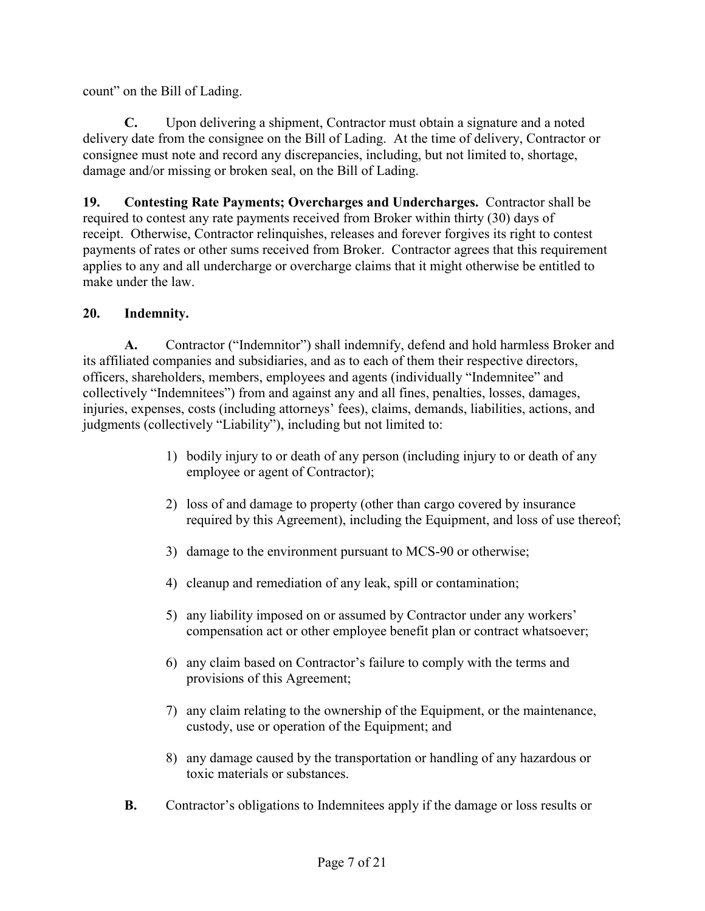count" on the Bill of Lading.

**C.** Upon delivering a shipment, Contractor must obtain a signature and a noted delivery date from the consignee on the Bill of Lading. At the time of delivery, Contractor or consignee must note and record any discrepancies, including, but not limited to, shortage, damage and/or missing or broken seal, on the Bill of Lading.

**19. Contesting Rate Payments; Overcharges and Undercharges.** Contractor shall be required to contest any rate payments received from Broker within thirty (30) days of receipt. Otherwise, Contractor relinquishes, releases and forever forgives its right to contest payments of rates or other sums received from Broker. Contractor agrees that this requirement applies to any and all undercharge or overcharge claims that it might otherwise be entitled to make under the law.

### **20. Indemnity.**

**A.** Contractor ("Indemnitor") shall indemnify, defend and hold harmless Broker and its affiliated companies and subsidiaries, and as to each of them their respective directors, officers, shareholders, members, employees and agents (individually "Indemnitee" and collectively "Indemnitees") from and against any and all fines, penalties, losses, damages, injuries, expenses, costs (including attorneys' fees), claims, demands, liabilities, actions, and judgments (collectively "Liability"), including but not limited to:

- 1) bodily injury to or death of any person (including injury to or death of any employee or agent of Contractor);
- 2) loss of and damage to property (other than cargo covered by insurance required by this Agreement), including the Equipment, and loss of use thereof;
- 3) damage to the environment pursuant to MCS-90 or otherwise;
- 4) cleanup and remediation of any leak, spill or contamination;
- 5) any liability imposed on or assumed by Contractor under any workers' compensation act or other employee benefit plan or contract whatsoever;
- 6) any claim based on Contractor's failure to comply with the terms and provisions of this Agreement;
- 7) any claim relating to the ownership of the Equipment, or the maintenance, custody, use or operation of the Equipment; and
- 8) any damage caused by the transportation or handling of any hazardous or toxic materials or substances.
- **B.** Contractor's obligations to Indemnitees apply if the damage or loss results or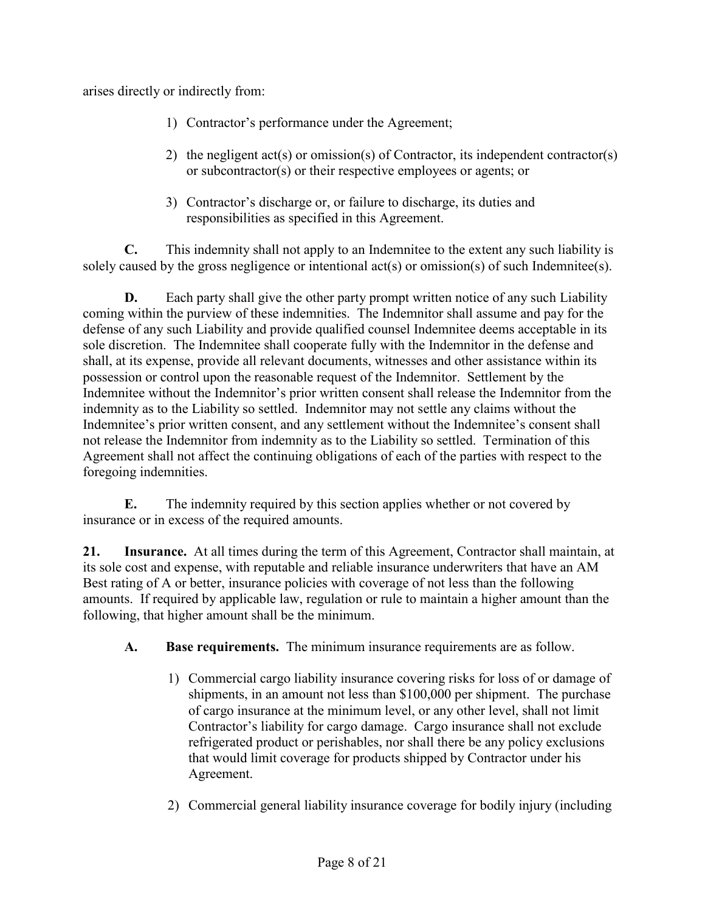arises directly or indirectly from:

- 1) Contractor's performance under the Agreement;
- 2) the negligent act(s) or omission(s) of Contractor, its independent contractor(s) or subcontractor(s) or their respective employees or agents; or
- 3) Contractor's discharge or, or failure to discharge, its duties and responsibilities as specified in this Agreement.

**C.** This indemnity shall not apply to an Indemnitee to the extent any such liability is solely caused by the gross negligence or intentional act(s) or omission(s) of such Indemnitee(s).

**D.** Each party shall give the other party prompt written notice of any such Liability coming within the purview of these indemnities. The Indemnitor shall assume and pay for the defense of any such Liability and provide qualified counsel Indemnitee deems acceptable in its sole discretion. The Indemnitee shall cooperate fully with the Indemnitor in the defense and shall, at its expense, provide all relevant documents, witnesses and other assistance within its possession or control upon the reasonable request of the Indemnitor. Settlement by the Indemnitee without the Indemnitor's prior written consent shall release the Indemnitor from the indemnity as to the Liability so settled. Indemnitor may not settle any claims without the Indemnitee's prior written consent, and any settlement without the Indemnitee's consent shall not release the Indemnitor from indemnity as to the Liability so settled. Termination of this Agreement shall not affect the continuing obligations of each of the parties with respect to the foregoing indemnities.

**E.** The indemnity required by this section applies whether or not covered by insurance or in excess of the required amounts.

**21. Insurance.** At all times during the term of this Agreement, Contractor shall maintain, at its sole cost and expense, with reputable and reliable insurance underwriters that have an AM Best rating of A or better, insurance policies with coverage of not less than the following amounts. If required by applicable law, regulation or rule to maintain a higher amount than the following, that higher amount shall be the minimum.

## **A. Base requirements.** The minimum insurance requirements are as follow.

- 1) Commercial cargo liability insurance covering risks for loss of or damage of shipments, in an amount not less than \$100,000 per shipment. The purchase of cargo insurance at the minimum level, or any other level, shall not limit Contractor's liability for cargo damage. Cargo insurance shall not exclude refrigerated product or perishables, nor shall there be any policy exclusions that would limit coverage for products shipped by Contractor under his Agreement.
- 2) Commercial general liability insurance coverage for bodily injury (including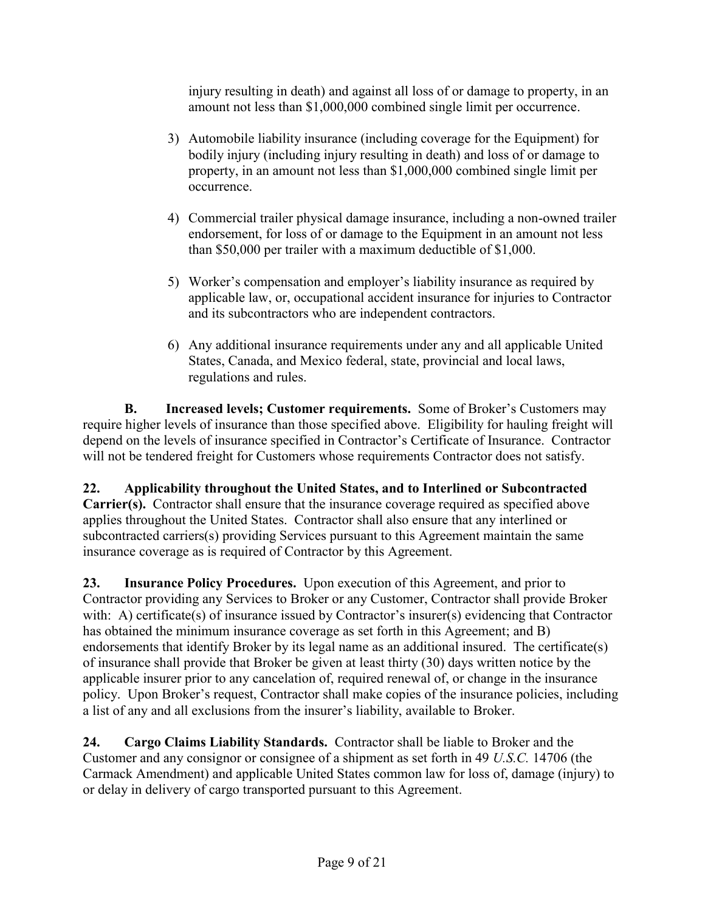injury resulting in death) and against all loss of or damage to property, in an amount not less than \$1,000,000 combined single limit per occurrence.

- 3) Automobile liability insurance (including coverage for the Equipment) for bodily injury (including injury resulting in death) and loss of or damage to property, in an amount not less than \$1,000,000 combined single limit per occurrence.
- 4) Commercial trailer physical damage insurance, including a non-owned trailer endorsement, for loss of or damage to the Equipment in an amount not less than \$50,000 per trailer with a maximum deductible of \$1,000.
- 5) Worker's compensation and employer's liability insurance as required by applicable law, or, occupational accident insurance for injuries to Contractor and its subcontractors who are independent contractors.
- 6) Any additional insurance requirements under any and all applicable United States, Canada, and Mexico federal, state, provincial and local laws, regulations and rules.

**B. Increased levels; Customer requirements.** Some of Broker's Customers may require higher levels of insurance than those specified above. Eligibility for hauling freight will depend on the levels of insurance specified in Contractor's Certificate of Insurance. Contractor will not be tendered freight for Customers whose requirements Contractor does not satisfy.

**22. Applicability throughout the United States, and to Interlined or Subcontracted Carrier(s).** Contractor shall ensure that the insurance coverage required as specified above applies throughout the United States. Contractor shall also ensure that any interlined or subcontracted carriers(s) providing Services pursuant to this Agreement maintain the same insurance coverage as is required of Contractor by this Agreement.

**23. Insurance Policy Procedures.** Upon execution of this Agreement, and prior to Contractor providing any Services to Broker or any Customer, Contractor shall provide Broker with: A) certificate(s) of insurance issued by Contractor's insurer(s) evidencing that Contractor has obtained the minimum insurance coverage as set forth in this Agreement; and B) endorsements that identify Broker by its legal name as an additional insured. The certificate(s) of insurance shall provide that Broker be given at least thirty (30) days written notice by the applicable insurer prior to any cancelation of, required renewal of, or change in the insurance policy. Upon Broker's request, Contractor shall make copies of the insurance policies, including a list of any and all exclusions from the insurer's liability, available to Broker.

**24. Cargo Claims Liability Standards.** Contractor shall be liable to Broker and the Customer and any consignor or consignee of a shipment as set forth in 49 *U.S.C.* 14706 (the Carmack Amendment) and applicable United States common law for loss of, damage (injury) to or delay in delivery of cargo transported pursuant to this Agreement.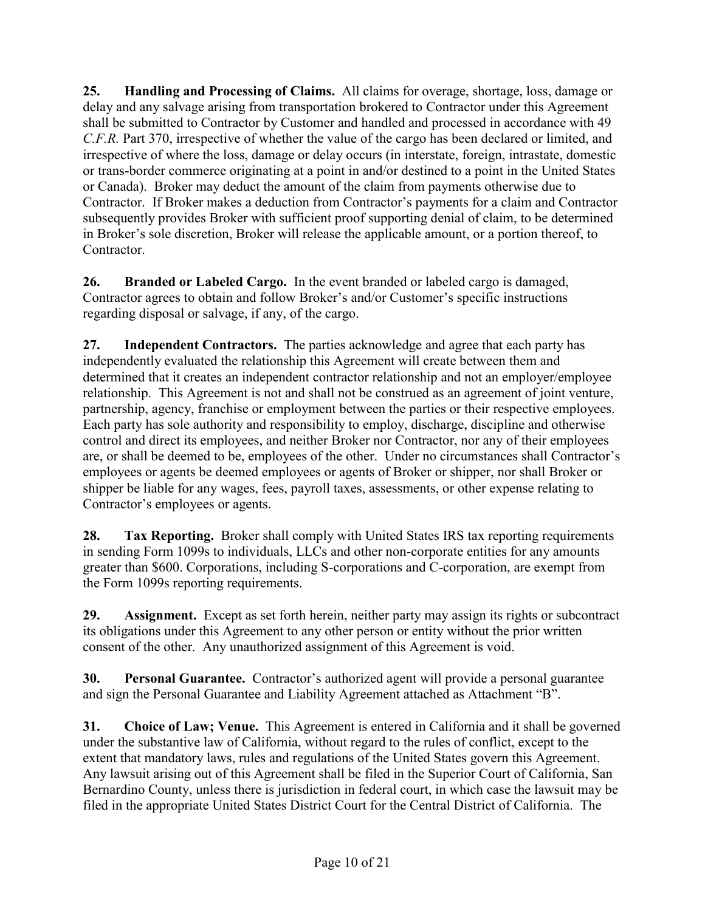**25. Handling and Processing of Claims.** All claims for overage, shortage, loss, damage or delay and any salvage arising from transportation brokered to Contractor under this Agreement shall be submitted to Contractor by Customer and handled and processed in accordance with 49 *C.F.R.* Part 370, irrespective of whether the value of the cargo has been declared or limited, and irrespective of where the loss, damage or delay occurs (in interstate, foreign, intrastate, domestic or trans-border commerce originating at a point in and/or destined to a point in the United States or Canada). Broker may deduct the amount of the claim from payments otherwise due to Contractor. If Broker makes a deduction from Contractor's payments for a claim and Contractor subsequently provides Broker with sufficient proof supporting denial of claim, to be determined in Broker's sole discretion, Broker will release the applicable amount, or a portion thereof, to **Contractor** 

**26. Branded or Labeled Cargo.** In the event branded or labeled cargo is damaged, Contractor agrees to obtain and follow Broker's and/or Customer's specific instructions regarding disposal or salvage, if any, of the cargo.

**27. Independent Contractors.** The parties acknowledge and agree that each party has independently evaluated the relationship this Agreement will create between them and determined that it creates an independent contractor relationship and not an employer/employee relationship. This Agreement is not and shall not be construed as an agreement of joint venture, partnership, agency, franchise or employment between the parties or their respective employees. Each party has sole authority and responsibility to employ, discharge, discipline and otherwise control and direct its employees, and neither Broker nor Contractor, nor any of their employees are, or shall be deemed to be, employees of the other. Under no circumstances shall Contractor's employees or agents be deemed employees or agents of Broker or shipper, nor shall Broker or shipper be liable for any wages, fees, payroll taxes, assessments, or other expense relating to Contractor's employees or agents.

**28. Tax Reporting.** Broker shall comply with United States IRS tax reporting requirements in sending Form 1099s to individuals, LLCs and other non-corporate entities for any amounts greater than \$600. Corporations, including S-corporations and C-corporation, are exempt from the Form 1099s reporting requirements.

**29. Assignment.** Except as set forth herein, neither party may assign its rights or subcontract its obligations under this Agreement to any other person or entity without the prior written consent of the other. Any unauthorized assignment of this Agreement is void.

**30. Personal Guarantee.** Contractor's authorized agent will provide a personal guarantee and sign the Personal Guarantee and Liability Agreement attached as Attachment "B".

**31. Choice of Law; Venue.** This Agreement is entered in California and it shall be governed under the substantive law of California, without regard to the rules of conflict, except to the extent that mandatory laws, rules and regulations of the United States govern this Agreement. Any lawsuit arising out of this Agreement shall be filed in the Superior Court of California, San Bernardino County, unless there is jurisdiction in federal court, in which case the lawsuit may be filed in the appropriate United States District Court for the Central District of California. The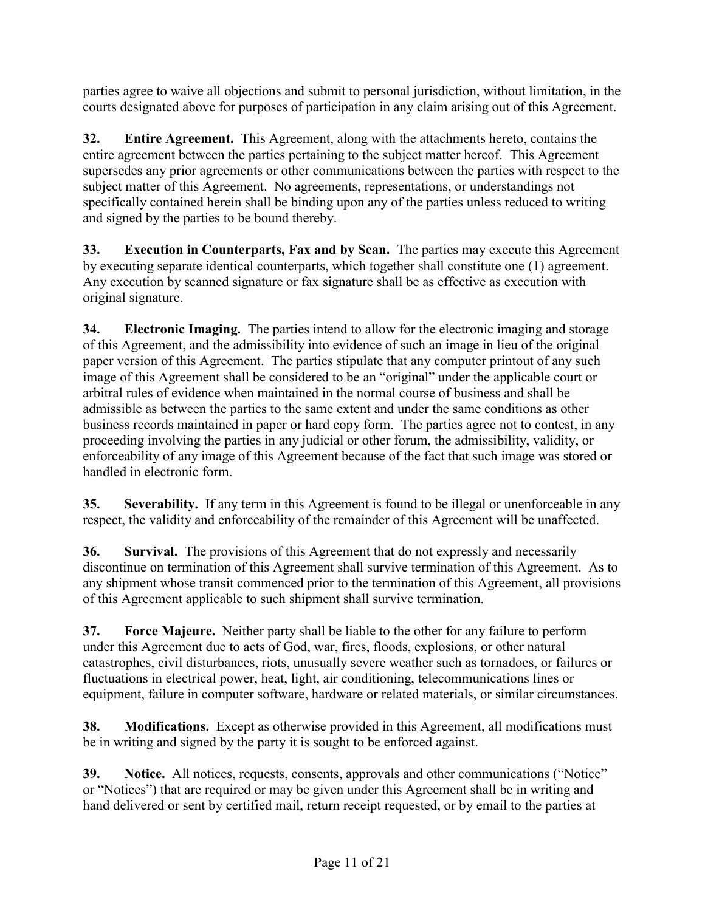parties agree to waive all objections and submit to personal jurisdiction, without limitation, in the courts designated above for purposes of participation in any claim arising out of this Agreement.

**32. Entire Agreement.** This Agreement, along with the attachments hereto, contains the entire agreement between the parties pertaining to the subject matter hereof. This Agreement supersedes any prior agreements or other communications between the parties with respect to the subject matter of this Agreement. No agreements, representations, or understandings not specifically contained herein shall be binding upon any of the parties unless reduced to writing and signed by the parties to be bound thereby.

**33. Execution in Counterparts, Fax and by Scan.** The parties may execute this Agreement by executing separate identical counterparts, which together shall constitute one (1) agreement. Any execution by scanned signature or fax signature shall be as effective as execution with original signature.

**34. Electronic Imaging.** The parties intend to allow for the electronic imaging and storage of this Agreement, and the admissibility into evidence of such an image in lieu of the original paper version of this Agreement. The parties stipulate that any computer printout of any such image of this Agreement shall be considered to be an "original" under the applicable court or arbitral rules of evidence when maintained in the normal course of business and shall be admissible as between the parties to the same extent and under the same conditions as other business records maintained in paper or hard copy form. The parties agree not to contest, in any proceeding involving the parties in any judicial or other forum, the admissibility, validity, or enforceability of any image of this Agreement because of the fact that such image was stored or handled in electronic form.

**35. Severability.** If any term in this Agreement is found to be illegal or unenforceable in any respect, the validity and enforceability of the remainder of this Agreement will be unaffected.

**36. Survival.** The provisions of this Agreement that do not expressly and necessarily discontinue on termination of this Agreement shall survive termination of this Agreement. As to any shipment whose transit commenced prior to the termination of this Agreement, all provisions of this Agreement applicable to such shipment shall survive termination.

**37. Force Majeure.** Neither party shall be liable to the other for any failure to perform under this Agreement due to acts of God, war, fires, floods, explosions, or other natural catastrophes, civil disturbances, riots, unusually severe weather such as tornadoes, or failures or fluctuations in electrical power, heat, light, air conditioning, telecommunications lines or equipment, failure in computer software, hardware or related materials, or similar circumstances.

**38. Modifications.** Except as otherwise provided in this Agreement, all modifications must be in writing and signed by the party it is sought to be enforced against.

**39. Notice.** All notices, requests, consents, approvals and other communications ("Notice" or "Notices") that are required or may be given under this Agreement shall be in writing and hand delivered or sent by certified mail, return receipt requested, or by email to the parties at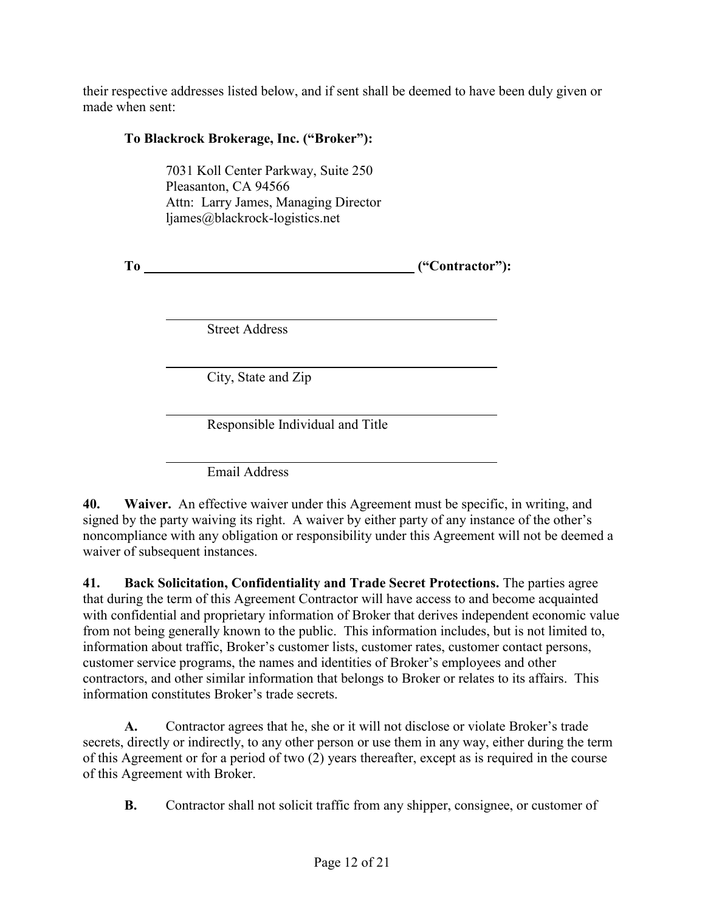their respective addresses listed below, and if sent shall be deemed to have been duly given or made when sent:

## **To Blackrock Brokerage, Inc. ("Broker"):**

7031 Koll Center Parkway, Suite 250 Pleasanton, CA 94566 Attn: Larry James, Managing Director ljames@blackrock-logistics.net

**To ("Contractor"):**

Street Address

City, State and Zip

Responsible Individual and Title

Email Address

**40. Waiver.** An effective waiver under this Agreement must be specific, in writing, and signed by the party waiving its right. A waiver by either party of any instance of the other's noncompliance with any obligation or responsibility under this Agreement will not be deemed a waiver of subsequent instances.

**41. Back Solicitation, Confidentiality and Trade Secret Protections.** The parties agree that during the term of this Agreement Contractor will have access to and become acquainted with confidential and proprietary information of Broker that derives independent economic value from not being generally known to the public. This information includes, but is not limited to, information about traffic, Broker's customer lists, customer rates, customer contact persons, customer service programs, the names and identities of Broker's employees and other contractors, and other similar information that belongs to Broker or relates to its affairs. This information constitutes Broker's trade secrets.

**A.** Contractor agrees that he, she or it will not disclose or violate Broker's trade secrets, directly or indirectly, to any other person or use them in any way, either during the term of this Agreement or for a period of two (2) years thereafter, except as is required in the course of this Agreement with Broker.

**B.** Contractor shall not solicit traffic from any shipper, consignee, or customer of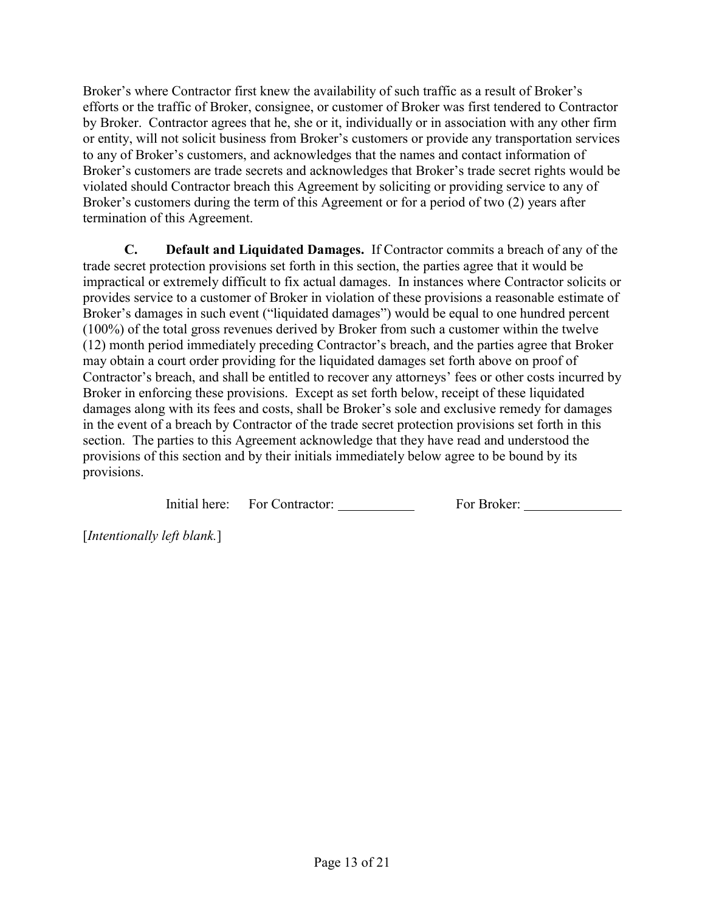Broker's where Contractor first knew the availability of such traffic as a result of Broker's efforts or the traffic of Broker, consignee, or customer of Broker was first tendered to Contractor by Broker. Contractor agrees that he, she or it, individually or in association with any other firm or entity, will not solicit business from Broker's customers or provide any transportation services to any of Broker's customers, and acknowledges that the names and contact information of Broker's customers are trade secrets and acknowledges that Broker's trade secret rights would be violated should Contractor breach this Agreement by soliciting or providing service to any of Broker's customers during the term of this Agreement or for a period of two (2) years after termination of this Agreement.

**C. Default and Liquidated Damages.** If Contractor commits a breach of any of the trade secret protection provisions set forth in this section, the parties agree that it would be impractical or extremely difficult to fix actual damages. In instances where Contractor solicits or provides service to a customer of Broker in violation of these provisions a reasonable estimate of Broker's damages in such event ("liquidated damages") would be equal to one hundred percent (100%) of the total gross revenues derived by Broker from such a customer within the twelve (12) month period immediately preceding Contractor's breach, and the parties agree that Broker may obtain a court order providing for the liquidated damages set forth above on proof of Contractor's breach, and shall be entitled to recover any attorneys' fees or other costs incurred by Broker in enforcing these provisions. Except as set forth below, receipt of these liquidated damages along with its fees and costs, shall be Broker's sole and exclusive remedy for damages in the event of a breach by Contractor of the trade secret protection provisions set forth in this section. The parties to this Agreement acknowledge that they have read and understood the provisions of this section and by their initials immediately below agree to be bound by its provisions.

| Initial here: | For Contractor: | For Broker: |
|---------------|-----------------|-------------|
|               |                 |             |

[*Intentionally left blank.*]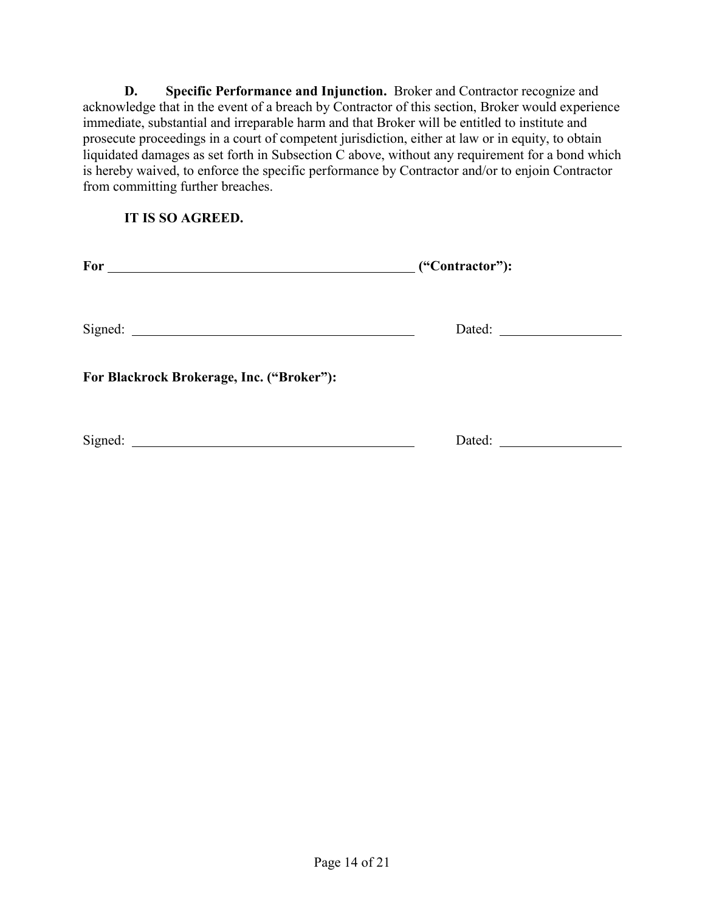**D. Specific Performance and Injunction.** Broker and Contractor recognize and acknowledge that in the event of a breach by Contractor of this section, Broker would experience immediate, substantial and irreparable harm and that Broker will be entitled to institute and prosecute proceedings in a court of competent jurisdiction, either at law or in equity, to obtain liquidated damages as set forth in Subsection C above, without any requirement for a bond which is hereby waived, to enforce the specific performance by Contractor and/or to enjoin Contractor from committing further breaches.

**IT IS SO AGREED.**

| For                                       | ("Contractor"): |  |
|-------------------------------------------|-----------------|--|
|                                           |                 |  |
| For Blackrock Brokerage, Inc. ("Broker"): |                 |  |
| Signed:                                   | Dated:          |  |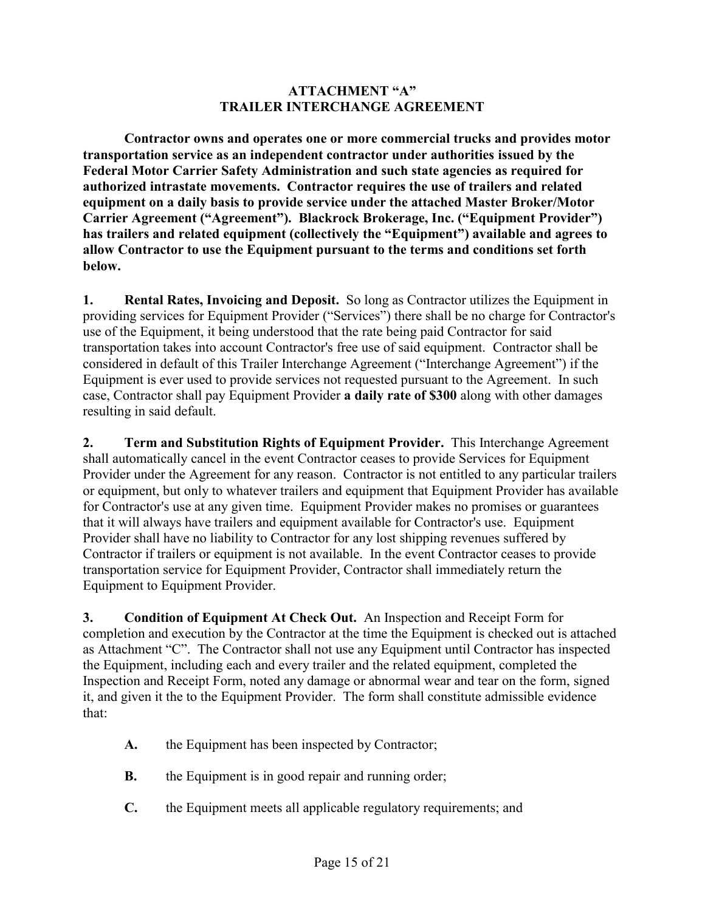#### **ATTACHMENT "A" TRAILER INTERCHANGE AGREEMENT**

**Contractor owns and operates one or more commercial trucks and provides motor transportation service as an independent contractor under authorities issued by the Federal Motor Carrier Safety Administration and such state agencies as required for authorized intrastate movements. Contractor requires the use of trailers and related equipment on a daily basis to provide service under the attached Master Broker/Motor Carrier Agreement ("Agreement"). Blackrock Brokerage, Inc. ("Equipment Provider") has trailers and related equipment (collectively the "Equipment") available and agrees to allow Contractor to use the Equipment pursuant to the terms and conditions set forth below.**

**1. Rental Rates, Invoicing and Deposit.** So long as Contractor utilizes the Equipment in providing services for Equipment Provider ("Services") there shall be no charge for Contractor's use of the Equipment, it being understood that the rate being paid Contractor for said transportation takes into account Contractor's free use of said equipment. Contractor shall be considered in default of this Trailer Interchange Agreement ("Interchange Agreement") if the Equipment is ever used to provide services not requested pursuant to the Agreement. In such case, Contractor shall pay Equipment Provider **a daily rate of \$300** along with other damages resulting in said default.

**2. Term and Substitution Rights of Equipment Provider.** This Interchange Agreement shall automatically cancel in the event Contractor ceases to provide Services for Equipment Provider under the Agreement for any reason. Contractor is not entitled to any particular trailers or equipment, but only to whatever trailers and equipment that Equipment Provider has available for Contractor's use at any given time. Equipment Provider makes no promises or guarantees that it will always have trailers and equipment available for Contractor's use. Equipment Provider shall have no liability to Contractor for any lost shipping revenues suffered by Contractor if trailers or equipment is not available. In the event Contractor ceases to provide transportation service for Equipment Provider, Contractor shall immediately return the Equipment to Equipment Provider.

**3. Condition of Equipment At Check Out.** An Inspection and Receipt Form for completion and execution by the Contractor at the time the Equipment is checked out is attached as Attachment "C". The Contractor shall not use any Equipment until Contractor has inspected the Equipment, including each and every trailer and the related equipment, completed the Inspection and Receipt Form, noted any damage or abnormal wear and tear on the form, signed it, and given it the to the Equipment Provider. The form shall constitute admissible evidence that:

- **A.** the Equipment has been inspected by Contractor;
- **B.** the Equipment is in good repair and running order;
- **C.** the Equipment meets all applicable regulatory requirements; and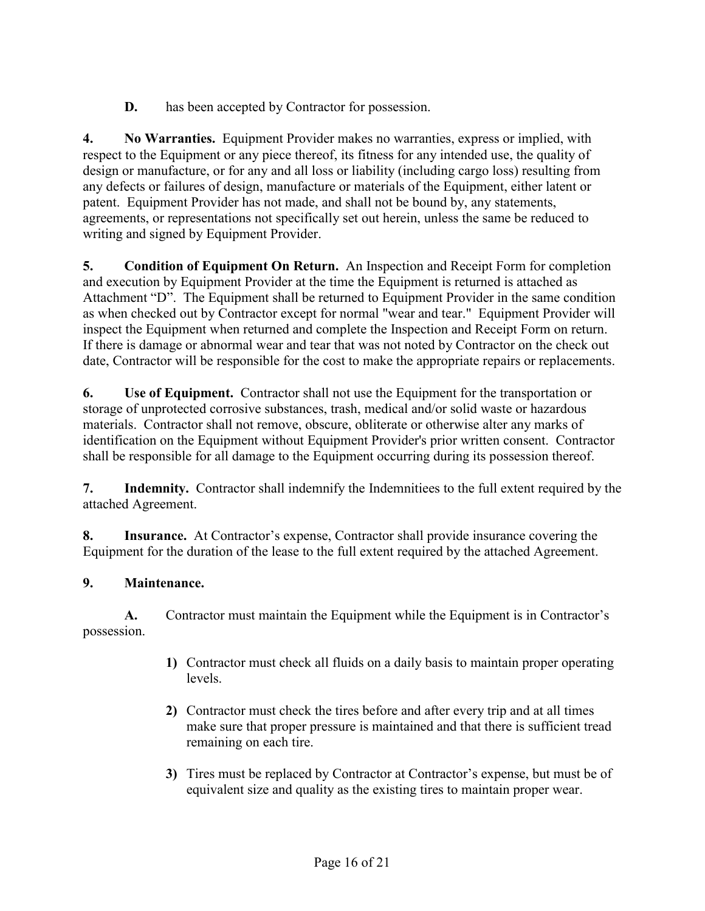**D.** has been accepted by Contractor for possession.

**4. No Warranties.** Equipment Provider makes no warranties, express or implied, with respect to the Equipment or any piece thereof, its fitness for any intended use, the quality of design or manufacture, or for any and all loss or liability (including cargo loss) resulting from any defects or failures of design, manufacture or materials of the Equipment, either latent or patent. Equipment Provider has not made, and shall not be bound by, any statements, agreements, or representations not specifically set out herein, unless the same be reduced to writing and signed by Equipment Provider.

**5. Condition of Equipment On Return.** An Inspection and Receipt Form for completion and execution by Equipment Provider at the time the Equipment is returned is attached as Attachment "D". The Equipment shall be returned to Equipment Provider in the same condition as when checked out by Contractor except for normal "wear and tear." Equipment Provider will inspect the Equipment when returned and complete the Inspection and Receipt Form on return. If there is damage or abnormal wear and tear that was not noted by Contractor on the check out date, Contractor will be responsible for the cost to make the appropriate repairs or replacements.

**6. Use of Equipment.** Contractor shall not use the Equipment for the transportation or storage of unprotected corrosive substances, trash, medical and/or solid waste or hazardous materials. Contractor shall not remove, obscure, obliterate or otherwise alter any marks of identification on the Equipment without Equipment Provider's prior written consent. Contractor shall be responsible for all damage to the Equipment occurring during its possession thereof.

**7. Indemnity.** Contractor shall indemnify the Indemnitiees to the full extent required by the attached Agreement.

**8. Insurance.** At Contractor's expense, Contractor shall provide insurance covering the Equipment for the duration of the lease to the full extent required by the attached Agreement.

## **9. Maintenance.**

**A.** Contractor must maintain the Equipment while the Equipment is in Contractor's possession.

- **1)** Contractor must check all fluids on a daily basis to maintain proper operating levels.
- **2)** Contractor must check the tires before and after every trip and at all times make sure that proper pressure is maintained and that there is sufficient tread remaining on each tire.
- **3)** Tires must be replaced by Contractor at Contractor's expense, but must be of equivalent size and quality as the existing tires to maintain proper wear.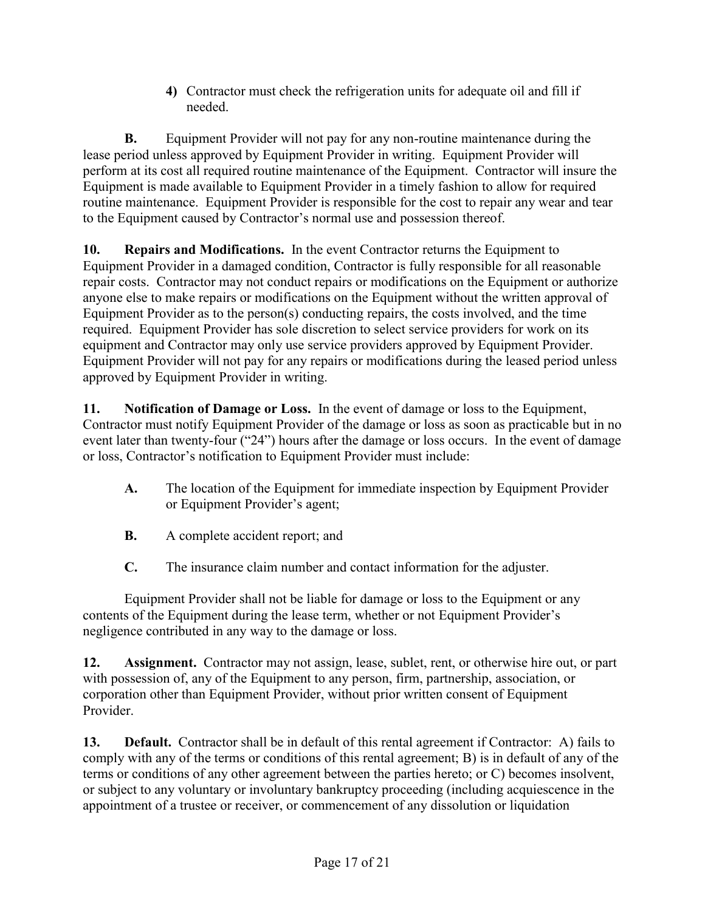**4)** Contractor must check the refrigeration units for adequate oil and fill if needed.

**B.** Equipment Provider will not pay for any non-routine maintenance during the lease period unless approved by Equipment Provider in writing. Equipment Provider will perform at its cost all required routine maintenance of the Equipment. Contractor will insure the Equipment is made available to Equipment Provider in a timely fashion to allow for required routine maintenance. Equipment Provider is responsible for the cost to repair any wear and tear to the Equipment caused by Contractor's normal use and possession thereof.

**10. Repairs and Modifications.** In the event Contractor returns the Equipment to Equipment Provider in a damaged condition, Contractor is fully responsible for all reasonable repair costs. Contractor may not conduct repairs or modifications on the Equipment or authorize anyone else to make repairs or modifications on the Equipment without the written approval of Equipment Provider as to the person(s) conducting repairs, the costs involved, and the time required. Equipment Provider has sole discretion to select service providers for work on its equipment and Contractor may only use service providers approved by Equipment Provider. Equipment Provider will not pay for any repairs or modifications during the leased period unless approved by Equipment Provider in writing.

**11. Notification of Damage or Loss.** In the event of damage or loss to the Equipment, Contractor must notify Equipment Provider of the damage or loss as soon as practicable but in no event later than twenty-four ("24") hours after the damage or loss occurs. In the event of damage or loss, Contractor's notification to Equipment Provider must include:

- **A.** The location of the Equipment for immediate inspection by Equipment Provider or Equipment Provider's agent;
- **B.** A complete accident report; and
- **C.** The insurance claim number and contact information for the adjuster.

Equipment Provider shall not be liable for damage or loss to the Equipment or any contents of the Equipment during the lease term, whether or not Equipment Provider's negligence contributed in any way to the damage or loss.

**12. Assignment.** Contractor may not assign, lease, sublet, rent, or otherwise hire out, or part with possession of, any of the Equipment to any person, firm, partnership, association, or corporation other than Equipment Provider, without prior written consent of Equipment Provider.

**13. Default.** Contractor shall be in default of this rental agreement if Contractor: A) fails to comply with any of the terms or conditions of this rental agreement; B) is in default of any of the terms or conditions of any other agreement between the parties hereto; or C) becomes insolvent, or subject to any voluntary or involuntary bankruptcy proceeding (including acquiescence in the appointment of a trustee or receiver, or commencement of any dissolution or liquidation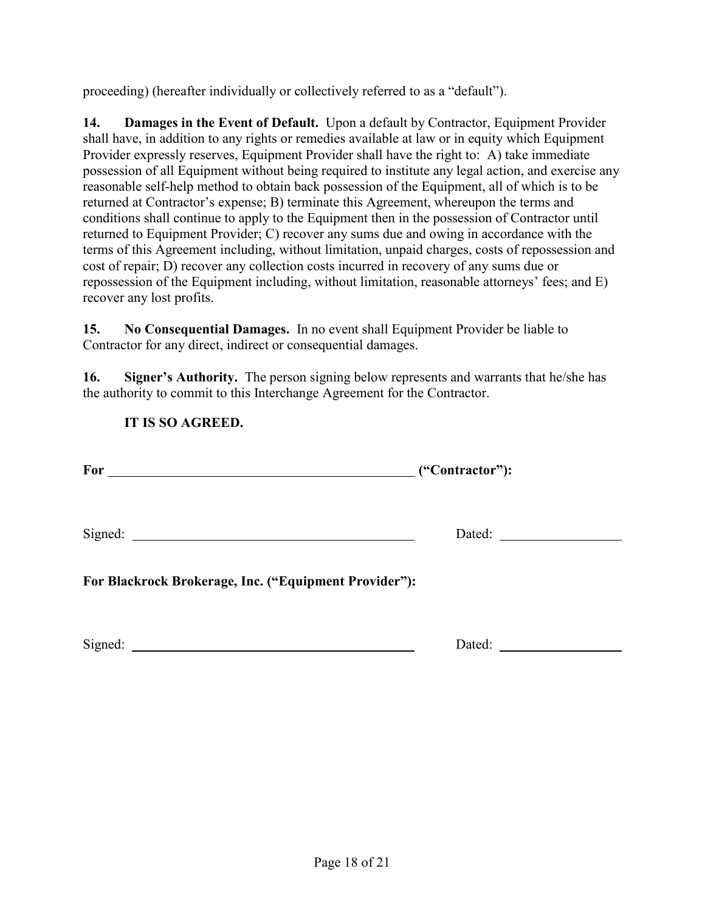proceeding) (hereafter individually or collectively referred to as a "default").

**14. Damages in the Event of Default.** Upon a default by Contractor, Equipment Provider shall have, in addition to any rights or remedies available at law or in equity which Equipment Provider expressly reserves, Equipment Provider shall have the right to: A) take immediate possession of all Equipment without being required to institute any legal action, and exercise any reasonable self-help method to obtain back possession of the Equipment, all of which is to be returned at Contractor's expense; B) terminate this Agreement, whereupon the terms and conditions shall continue to apply to the Equipment then in the possession of Contractor until returned to Equipment Provider; C) recover any sums due and owing in accordance with the terms of this Agreement including, without limitation, unpaid charges, costs of repossession and cost of repair; D) recover any collection costs incurred in recovery of any sums due or repossession of the Equipment including, without limitation, reasonable attorneys' fees; and E) recover any lost profits.

**15. No Consequential Damages.** In no event shall Equipment Provider be liable to Contractor for any direct, indirect or consequential damages.

**16. Signer's Authority.** The person signing below represents and warrants that he/she has the authority to commit to this Interchange Agreement for the Contractor.

### **IT IS SO AGREED.**

| For<br>("Contractor"):                                |  |  |
|-------------------------------------------------------|--|--|
|                                                       |  |  |
| For Blackrock Brokerage, Inc. ("Equipment Provider"): |  |  |

Signed: Dated: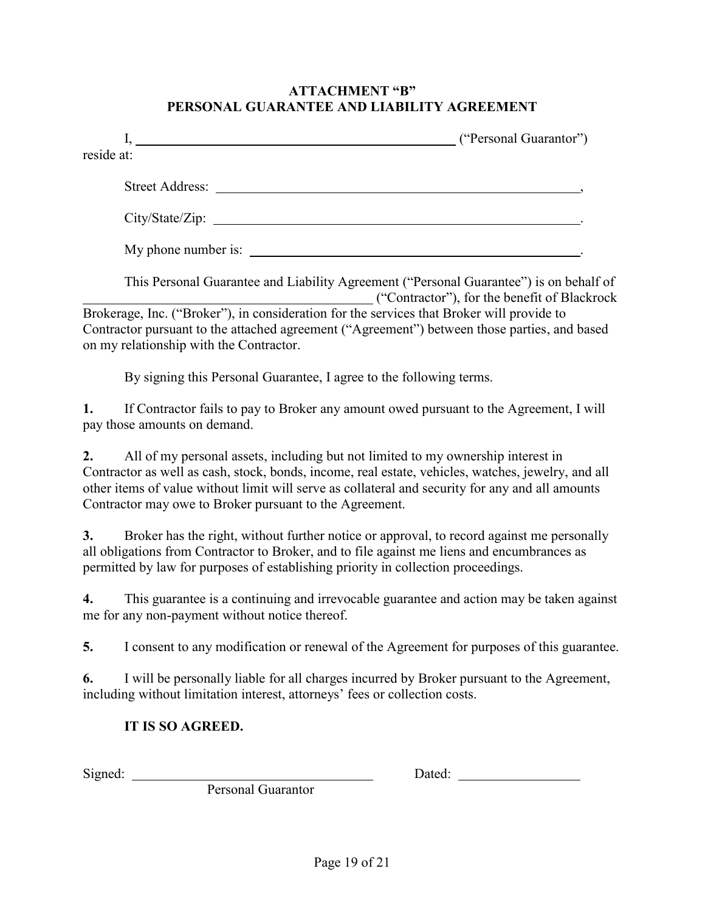#### **ATTACHMENT "B" PERSONAL GUARANTEE AND LIABILITY AGREEMENT**

|            | ("Personal Guarantor")                                                                                                                                                                                                               |
|------------|--------------------------------------------------------------------------------------------------------------------------------------------------------------------------------------------------------------------------------------|
| reside at: |                                                                                                                                                                                                                                      |
|            |                                                                                                                                                                                                                                      |
|            |                                                                                                                                                                                                                                      |
|            |                                                                                                                                                                                                                                      |
|            | This Personal Guarantee and Liability Agreement ("Personal Guarantee") is on behalf of<br>("Contractor"), for the benefit of Blackrock                                                                                               |
|            | Brokerage, Inc. ("Broker"), in consideration for the services that Broker will provide to<br>Contractor pursuant to the attached agreement ("Agreement") between those parties, and based<br>on my relationship with the Contractor. |
|            | By signing this Personal Guarantee, I agree to the following terms.                                                                                                                                                                  |
|            | If Contractor fails to pay to Broker any amount owed pursuant to the Agreement, I will<br>pay those amounts on demand.                                                                                                               |

**2.** All of my personal assets, including but not limited to my ownership interest in Contractor as well as cash, stock, bonds, income, real estate, vehicles, watches, jewelry, and all other items of value without limit will serve as collateral and security for any and all amounts Contractor may owe to Broker pursuant to the Agreement.

**3.** Broker has the right, without further notice or approval, to record against me personally all obligations from Contractor to Broker, and to file against me liens and encumbrances as permitted by law for purposes of establishing priority in collection proceedings.

**4.** This guarantee is a continuing and irrevocable guarantee and action may be taken against me for any non-payment without notice thereof.

**5.** I consent to any modification or renewal of the Agreement for purposes of this guarantee.

**6.** I will be personally liable for all charges incurred by Broker pursuant to the Agreement, including without limitation interest, attorneys' fees or collection costs.

### **IT IS SO AGREED.**

Signed: Dated:

Personal Guarantor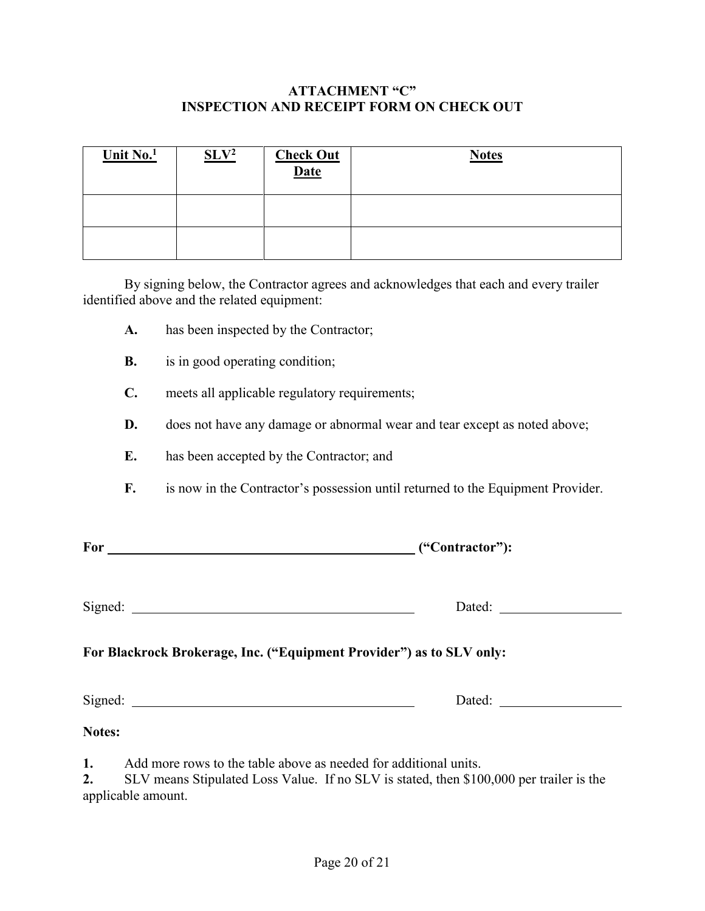### **ATTACHMENT "C" INSPECTION AND RECEIPT FORM ON CHECK OUT**

| Unit $No.1$ | SLV <sup>2</sup> | <b>Check Out</b><br><b>Date</b> | <b>Notes</b> |
|-------------|------------------|---------------------------------|--------------|
|             |                  |                                 |              |
|             |                  |                                 |              |

By signing below, the Contractor agrees and acknowledges that each and every trailer identified above and the related equipment:

- **A.** has been inspected by the Contractor;
- **B.** is in good operating condition;
- **C.** meets all applicable regulatory requirements;
- **D.** does not have any damage or abnormal wear and tear except as noted above;
- **E.** has been accepted by the Contractor; and
- **F.** is now in the Contractor's possession until returned to the Equipment Provider.

| For | ("Contractor"): |
|-----|-----------------|
|     |                 |

Signed: <u>Dated:</u> Dated:

### **For Blackrock Brokerage, Inc. ("Equipment Provider") as to SLV only:**

Signed: Dated:

#### **Notes:**

**1.** Add more rows to the table above as needed for additional units.

**2.** SLV means Stipulated Loss Value. If no SLV is stated, then \$100,000 per trailer is the applicable amount.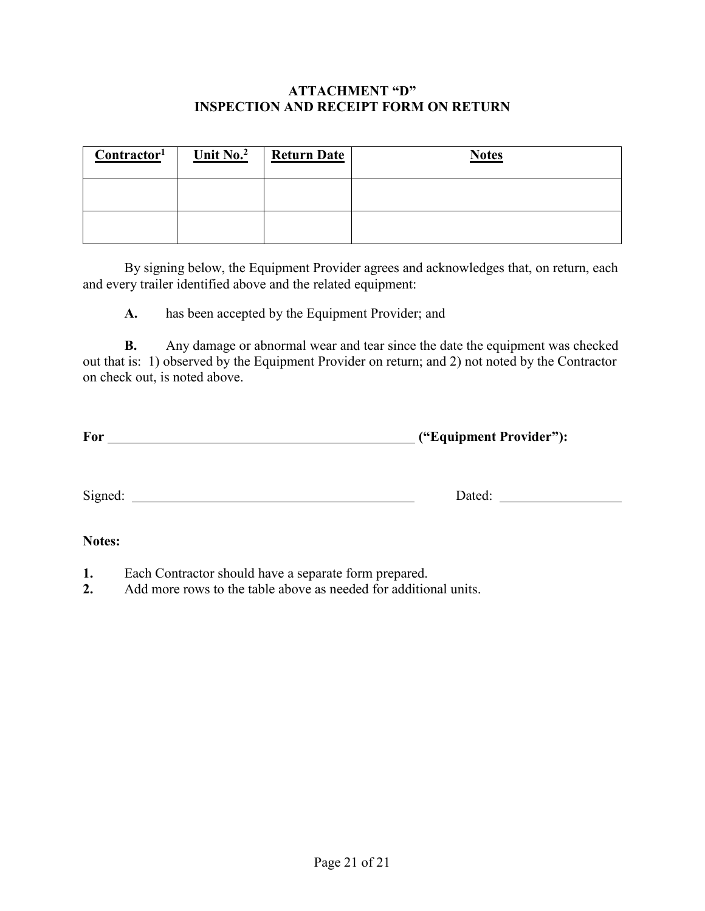#### **ATTACHMENT "D" INSPECTION AND RECEIPT FORM ON RETURN**

| $\frac{Contractor^1}{}$ | Unit $No.2$ | <b>Return Date</b> | <b>Notes</b> |
|-------------------------|-------------|--------------------|--------------|
|                         |             |                    |              |
|                         |             |                    |              |

By signing below, the Equipment Provider agrees and acknowledges that, on return, each and every trailer identified above and the related equipment:

**A.** has been accepted by the Equipment Provider; and

**B.** Any damage or abnormal wear and tear since the date the equipment was checked out that is: 1) observed by the Equipment Provider on return; and 2) not noted by the Contractor on check out, is noted above.

| For | ("Equipment Provider"): |
|-----|-------------------------|
|     |                         |

Signed: Dated:

#### **Notes:**

- **1.** Each Contractor should have a separate form prepared.
- **2.** Add more rows to the table above as needed for additional units.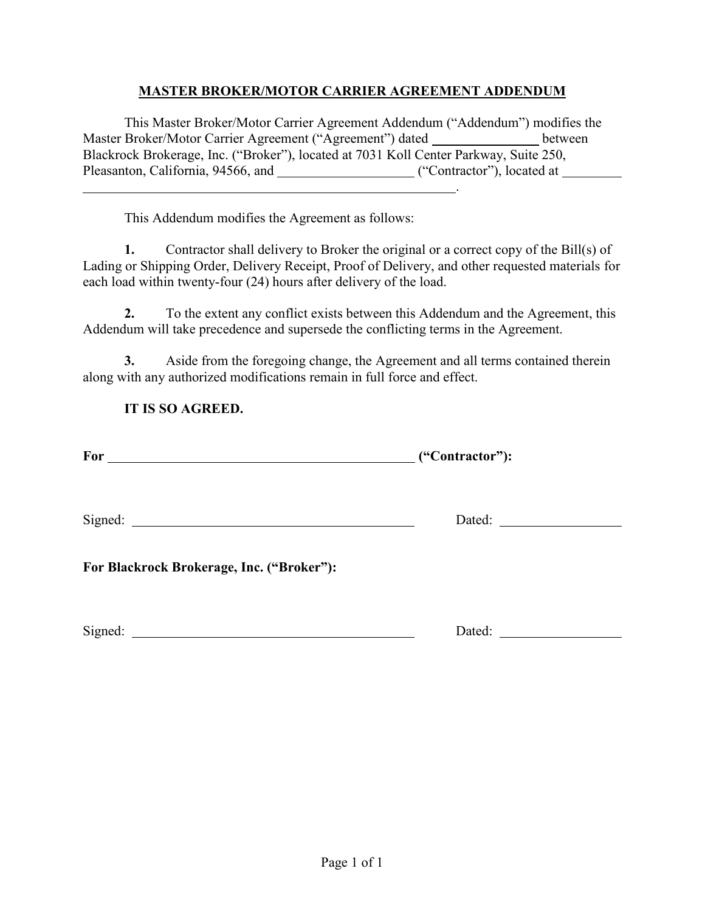### **MASTER BROKER/MOTOR CARRIER AGREEMENT ADDENDUM**

This Master Broker/Motor Carrier Agreement Addendum ("Addendum") modifies the Master Broker/Motor Carrier Agreement ("Agreement") dated \_\_\_\_\_\_\_\_\_\_\_\_\_\_ between Blackrock Brokerage, Inc. ("Broker"), located at 7031 Koll Center Parkway, Suite 250, Pleasanton, California, 94566, and \_\_\_\_\_\_\_\_\_\_\_\_\_\_\_\_\_\_\_\_\_("Contractor"), located at \_\_\_\_\_\_\_\_ .

This Addendum modifies the Agreement as follows:

**1.** Contractor shall delivery to Broker the original or a correct copy of the Bill(s) of Lading or Shipping Order, Delivery Receipt, Proof of Delivery, and other requested materials for each load within twenty-four (24) hours after delivery of the load.

**2.** To the extent any conflict exists between this Addendum and the Agreement, this Addendum will take precedence and supersede the conflicting terms in the Agreement.

**3.** Aside from the foregoing change, the Agreement and all terms contained therein along with any authorized modifications remain in full force and effect.

## **IT IS SO AGREED.**

| For | ("Contractor"): |
|-----|-----------------|
|     |                 |

Signed: Dated:

**For Blackrock Brokerage, Inc. ("Broker"):**

Signed: Dated: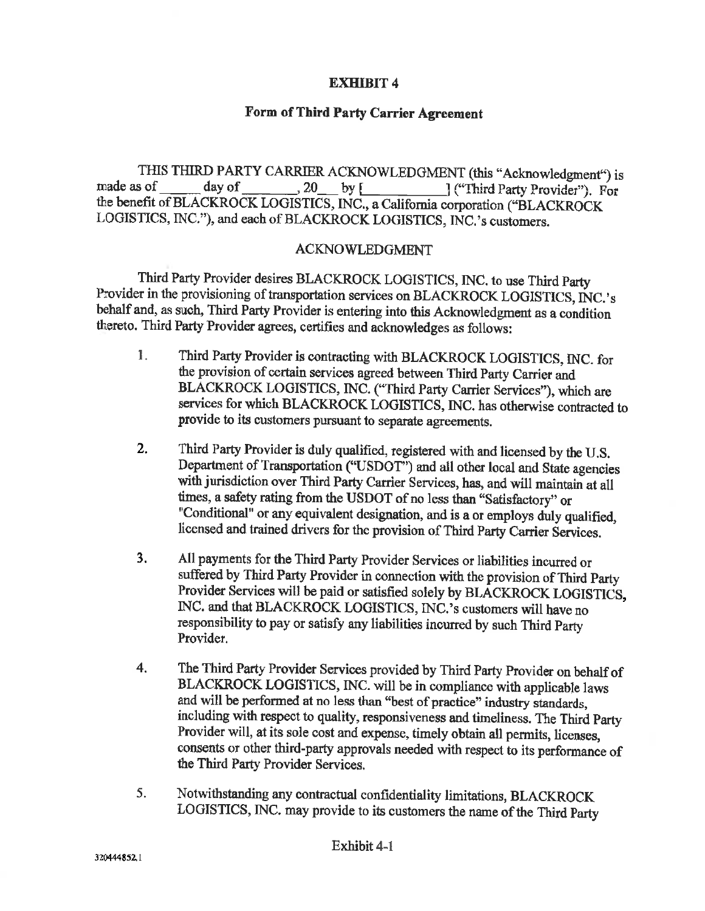#### **EXHIBIT 4**

#### Form of Third Party Carrier Agreement

THIS THIRD PARTY CARRIER ACKNOWLEDGMENT (this "Acknowledgment") is  $20$  by [ made as of day of ("Third Party Provider"). For the benefit of BLACKROCK LOGISTICS, INC., a California corporation ("BLACKROCK LOGISTICS, INC."), and each of BLACKROCK LOGISTICS, INC.'s customers.

#### **ACKNOWLEDGMENT**

Third Party Provider desires BLACKROCK LOGISTICS, INC. to use Third Party Provider in the provisioning of transportation services on BLACKROCK LOGISTICS, INC.'s behalf and, as such, Third Party Provider is entering into this Acknowledgment as a condition thereto. Third Party Provider agrees, certifies and acknowledges as follows:

- $1.$ Third Party Provider is contracting with BLACKROCK LOGISTICS, INC. for the provision of certain services agreed between Third Party Carrier and BLACKROCK LOGISTICS, INC. ("Third Party Carrier Services"), which are services for which BLACKROCK LOGISTICS, INC. has otherwise contracted to provide to its customers pursuant to separate agreements.
- Third Party Provider is duly qualified, registered with and licensed by the U.S. 2. Department of Transportation ("USDOT") and all other local and State agencies with jurisdiction over Third Party Carrier Services, has, and will maintain at all times, a safety rating from the USDOT of no less than "Satisfactory" or "Conditional" or any equivalent designation, and is a or employs duly qualified, licensed and trained drivers for the provision of Third Party Carrier Services.
- $3.$ All payments for the Third Party Provider Services or liabilities incurred or suffered by Third Party Provider in connection with the provision of Third Party Provider Services will be paid or satisfied solely by BLACKROCK LOGISTICS, INC. and that BLACKROCK LOGISTICS, INC.'s customers will have no responsibility to pay or satisfy any liabilities incurred by such Third Party Provider.
- The Third Party Provider Services provided by Third Party Provider on behalf of  $\overline{4}$ . BLACKROCK LOGISTICS, INC. will be in compliance with applicable laws and will be performed at no less than "best of practice" industry standards, including with respect to quality, responsiveness and timeliness. The Third Party Provider will, at its sole cost and expense, timely obtain all permits, licenses, consents or other third-party approvals needed with respect to its performance of the Third Party Provider Services.
- Notwithstanding any contractual confidentiality limitations, BLACKROCK  $5.$ LOGISTICS, INC. may provide to its customers the name of the Third Party